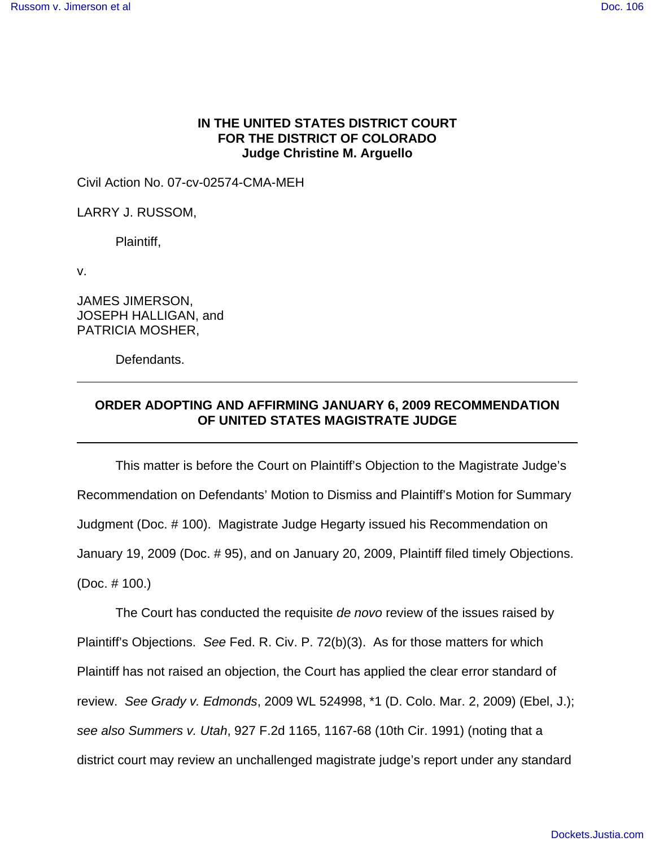# **IN THE UNITED STATES DISTRICT COURT FOR THE DISTRICT OF COLORADO Judge Christine M. Arguello**

Civil Action No. 07-cv-02574-CMA-MEH

LARRY J. RUSSOM,

Plaintiff,

v.

JAMES JIMERSON, JOSEPH HALLIGAN, and PATRICIA MOSHER,

Defendants.

# **ORDER ADOPTING AND AFFIRMING JANUARY 6, 2009 RECOMMENDATION OF UNITED STATES MAGISTRATE JUDGE**

This matter is before the Court on Plaintiff's Objection to the Magistrate Judge's Recommendation on Defendants' Motion to Dismiss and Plaintiff's Motion for Summary Judgment (Doc. # 100). Magistrate Judge Hegarty issued his Recommendation on January 19, 2009 (Doc. # 95), and on January 20, 2009, Plaintiff filed timely Objections. (Doc. # 100.)

The Court has conducted the requisite *de novo* review of the issues raised by Plaintiff's Objections. *See* Fed. R. Civ. P. 72(b)(3). As for those matters for which Plaintiff has not raised an objection, the Court has applied the clear error standard of review. *See Grady v. Edmonds*, 2009 WL 524998, \*1 (D. Colo. Mar. 2, 2009) (Ebel, J.); *see also Summers v. Utah*, 927 F.2d 1165, 1167-68 (10th Cir. 1991) (noting that a district court may review an unchallenged magistrate judge's report under any standard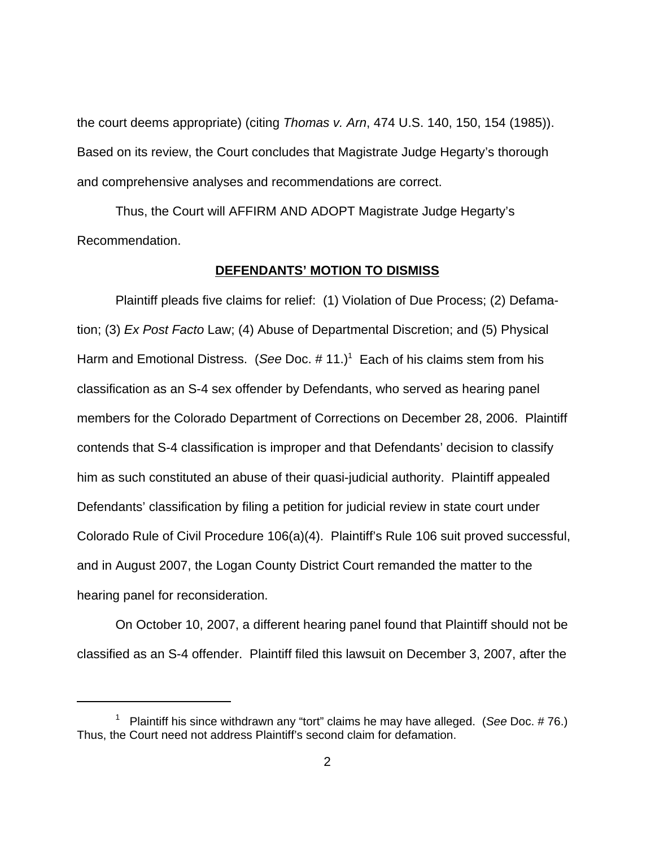the court deems appropriate) (citing *Thomas v. Arn*, 474 U.S. 140, 150, 154 (1985)). Based on its review, the Court concludes that Magistrate Judge Hegarty's thorough and comprehensive analyses and recommendations are correct.

Thus, the Court will AFFIRM AND ADOPT Magistrate Judge Hegarty's Recommendation.

## **DEFENDANTS' MOTION TO DISMISS**

Plaintiff pleads five claims for relief: (1) Violation of Due Process; (2) Defamation; (3) *Ex Post Facto* Law; (4) Abuse of Departmental Discretion; and (5) Physical Harm and Emotional Distress. (See Doc. # 11.)<sup>1</sup> Each of his claims stem from his classification as an S-4 sex offender by Defendants, who served as hearing panel members for the Colorado Department of Corrections on December 28, 2006. Plaintiff contends that S-4 classification is improper and that Defendants' decision to classify him as such constituted an abuse of their quasi-judicial authority. Plaintiff appealed Defendants' classification by filing a petition for judicial review in state court under Colorado Rule of Civil Procedure 106(a)(4). Plaintiff's Rule 106 suit proved successful, and in August 2007, the Logan County District Court remanded the matter to the hearing panel for reconsideration.

On October 10, 2007, a different hearing panel found that Plaintiff should not be classified as an S-4 offender. Plaintiff filed this lawsuit on December 3, 2007, after the

<sup>1</sup> Plaintiff his since withdrawn any "tort" claims he may have alleged. (*See* Doc. # 76.) Thus, the Court need not address Plaintiff's second claim for defamation.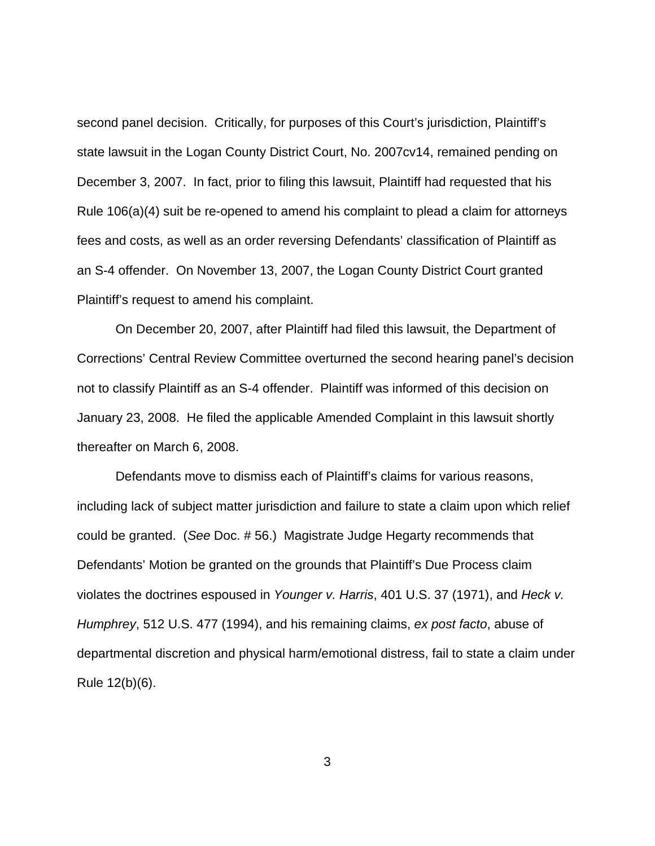second panel decision. Critically, for purposes of this Court's jurisdiction, Plaintiff's state lawsuit in the Logan County District Court, No. 2007cv14, remained pending on December 3, 2007. In fact, prior to filing this lawsuit, Plaintiff had requested that his Rule 106(a)(4) suit be re-opened to amend his complaint to plead a claim for attorneys fees and costs, as well as an order reversing Defendants' classification of Plaintiff as an S-4 offender. On November 13, 2007, the Logan County District Court granted Plaintiff's request to amend his complaint.

On December 20, 2007, after Plaintiff had filed this lawsuit, the Department of Corrections' Central Review Committee overturned the second hearing panel's decision not to classify Plaintiff as an S-4 offender. Plaintiff was informed of this decision on January 23, 2008. He filed the applicable Amended Complaint in this lawsuit shortly thereafter on March 6, 2008.

Defendants move to dismiss each of Plaintiff's claims for various reasons, including lack of subject matter jurisdiction and failure to state a claim upon which relief could be granted. (*See* Doc. # 56.) Magistrate Judge Hegarty recommends that Defendants' Motion be granted on the grounds that Plaintiff's Due Process claim violates the doctrines espoused in *Younger v. Harris*, 401 U.S. 37 (1971), and *Heck v. Humphrey*, 512 U.S. 477 (1994), and his remaining claims, *ex post facto*, abuse of departmental discretion and physical harm/emotional distress, fail to state a claim under Rule 12(b)(6).

3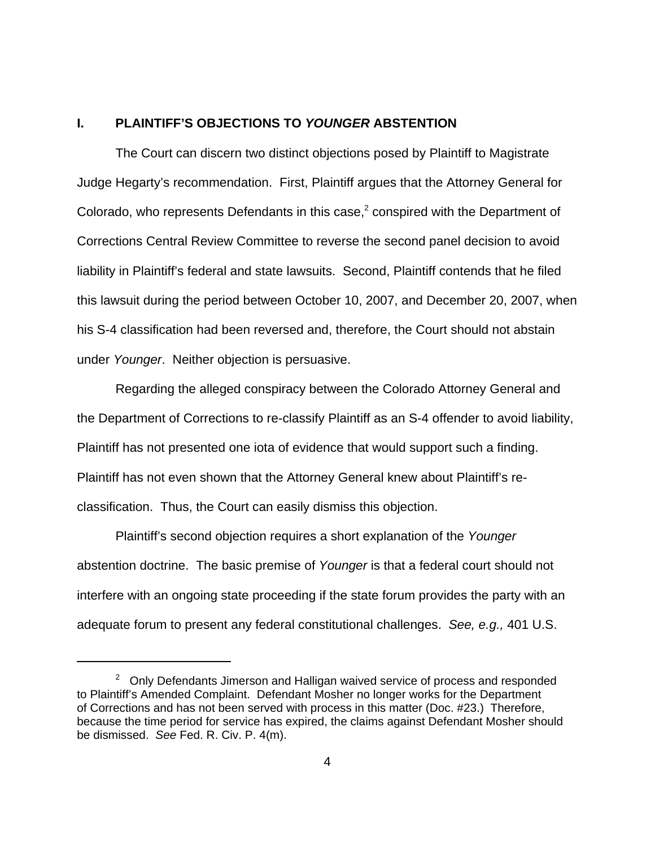### **I. PLAINTIFF'S OBJECTIONS TO** *YOUNGER* **ABSTENTION**

The Court can discern two distinct objections posed by Plaintiff to Magistrate Judge Hegarty's recommendation. First, Plaintiff argues that the Attorney General for Colorado, who represents Defendants in this case, $2$  conspired with the Department of Corrections Central Review Committee to reverse the second panel decision to avoid liability in Plaintiff's federal and state lawsuits. Second, Plaintiff contends that he filed this lawsuit during the period between October 10, 2007, and December 20, 2007, when his S-4 classification had been reversed and, therefore, the Court should not abstain under *Younger*. Neither objection is persuasive.

Regarding the alleged conspiracy between the Colorado Attorney General and the Department of Corrections to re-classify Plaintiff as an S-4 offender to avoid liability, Plaintiff has not presented one iota of evidence that would support such a finding. Plaintiff has not even shown that the Attorney General knew about Plaintiff's reclassification. Thus, the Court can easily dismiss this objection.

Plaintiff's second objection requires a short explanation of the *Younger* abstention doctrine. The basic premise of *Younger* is that a federal court should not interfere with an ongoing state proceeding if the state forum provides the party with an adequate forum to present any federal constitutional challenges. *See, e.g.,* 401 U.S.

 $2$  Only Defendants Jimerson and Halligan waived service of process and responded to Plaintiff's Amended Complaint. Defendant Mosher no longer works for the Department of Corrections and has not been served with process in this matter (Doc. #23.) Therefore, because the time period for service has expired, the claims against Defendant Mosher should be dismissed. *See* Fed. R. Civ. P. 4(m).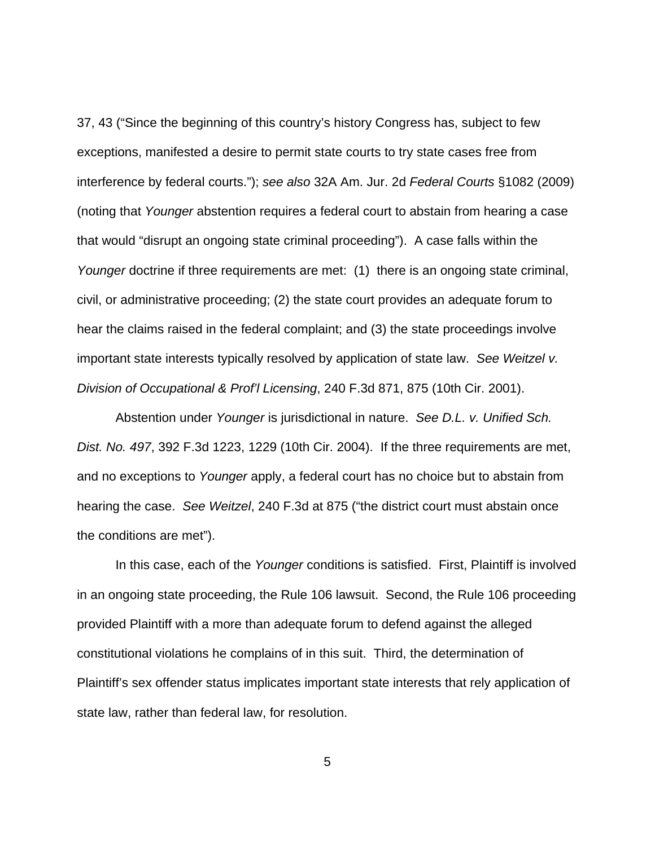37, 43 ("Since the beginning of this country's history Congress has, subject to few exceptions, manifested a desire to permit state courts to try state cases free from interference by federal courts."); *see also* 32A Am. Jur. 2d *Federal Courts* §1082 (2009) (noting that *Younger* abstention requires a federal court to abstain from hearing a case that would "disrupt an ongoing state criminal proceeding"). A case falls within the *Younger* doctrine if three requirements are met: (1) there is an ongoing state criminal, civil, or administrative proceeding; (2) the state court provides an adequate forum to hear the claims raised in the federal complaint; and (3) the state proceedings involve important state interests typically resolved by application of state law. *See Weitzel v. Division of Occupational & Prof'l Licensing*, 240 F.3d 871, 875 (10th Cir. 2001).

Abstention under *Younger* is jurisdictional in nature. *See D.L. v. Unified Sch. Dist. No. 497*, 392 F.3d 1223, 1229 (10th Cir. 2004). If the three requirements are met, and no exceptions to *Younger* apply, a federal court has no choice but to abstain from hearing the case. *See Weitzel*, 240 F.3d at 875 ("the district court must abstain once the conditions are met").

In this case, each of the *Younger* conditions is satisfied. First, Plaintiff is involved in an ongoing state proceeding, the Rule 106 lawsuit. Second, the Rule 106 proceeding provided Plaintiff with a more than adequate forum to defend against the alleged constitutional violations he complains of in this suit. Third, the determination of Plaintiff's sex offender status implicates important state interests that rely application of state law, rather than federal law, for resolution.

5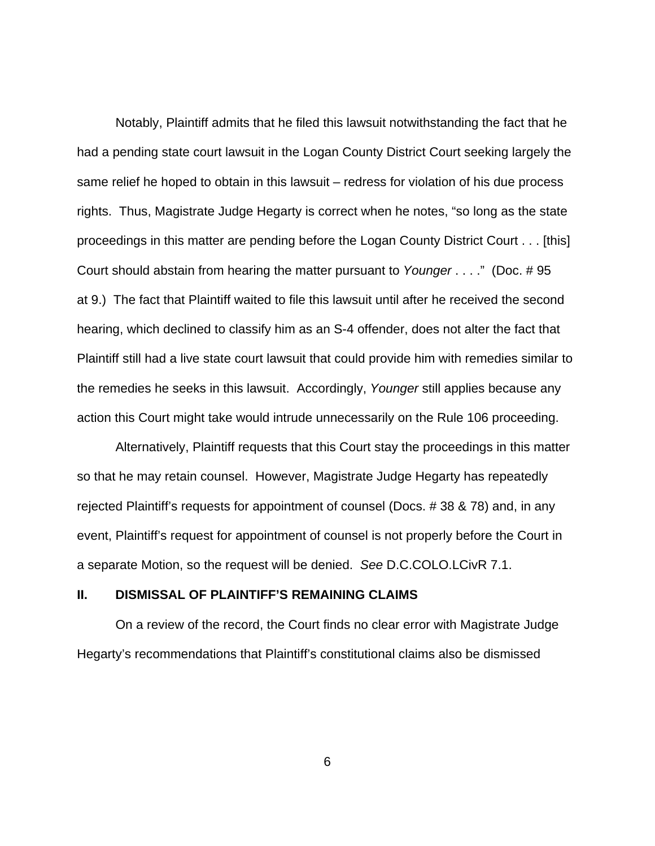Notably, Plaintiff admits that he filed this lawsuit notwithstanding the fact that he had a pending state court lawsuit in the Logan County District Court seeking largely the same relief he hoped to obtain in this lawsuit – redress for violation of his due process rights. Thus, Magistrate Judge Hegarty is correct when he notes, "so long as the state proceedings in this matter are pending before the Logan County District Court . . . [this] Court should abstain from hearing the matter pursuant to *Younger* . . . ." (Doc. # 95 at 9.) The fact that Plaintiff waited to file this lawsuit until after he received the second hearing, which declined to classify him as an S-4 offender, does not alter the fact that Plaintiff still had a live state court lawsuit that could provide him with remedies similar to the remedies he seeks in this lawsuit. Accordingly, *Younger* still applies because any action this Court might take would intrude unnecessarily on the Rule 106 proceeding.

Alternatively, Plaintiff requests that this Court stay the proceedings in this matter so that he may retain counsel. However, Magistrate Judge Hegarty has repeatedly rejected Plaintiff's requests for appointment of counsel (Docs. # 38 & 78) and, in any event, Plaintiff's request for appointment of counsel is not properly before the Court in a separate Motion, so the request will be denied. *See* D.C.COLO.LCivR 7.1.

### **II. DISMISSAL OF PLAINTIFF'S REMAINING CLAIMS**

On a review of the record, the Court finds no clear error with Magistrate Judge Hegarty's recommendations that Plaintiff's constitutional claims also be dismissed

6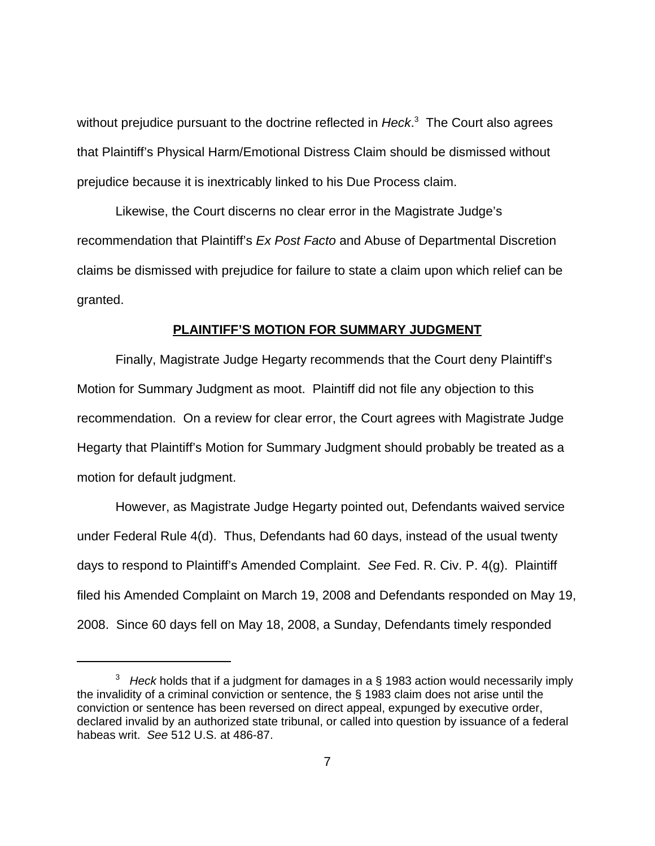without prejudice pursuant to the doctrine reflected in *Heck*. 3 The Court also agrees that Plaintiff's Physical Harm/Emotional Distress Claim should be dismissed without prejudice because it is inextricably linked to his Due Process claim.

Likewise, the Court discerns no clear error in the Magistrate Judge's recommendation that Plaintiff's *Ex Post Facto* and Abuse of Departmental Discretion claims be dismissed with prejudice for failure to state a claim upon which relief can be granted.

#### **PLAINTIFF'S MOTION FOR SUMMARY JUDGMENT**

Finally, Magistrate Judge Hegarty recommends that the Court deny Plaintiff's Motion for Summary Judgment as moot. Plaintiff did not file any objection to this recommendation. On a review for clear error, the Court agrees with Magistrate Judge Hegarty that Plaintiff's Motion for Summary Judgment should probably be treated as a motion for default judgment.

However, as Magistrate Judge Hegarty pointed out, Defendants waived service under Federal Rule 4(d). Thus, Defendants had 60 days, instead of the usual twenty days to respond to Plaintiff's Amended Complaint. *See* Fed. R. Civ. P. 4(g). Plaintiff filed his Amended Complaint on March 19, 2008 and Defendants responded on May 19, 2008. Since 60 days fell on May 18, 2008, a Sunday, Defendants timely responded

<sup>3</sup> *Heck* holds that if a judgment for damages in a § 1983 action would necessarily imply the invalidity of a criminal conviction or sentence, the § 1983 claim does not arise until the conviction or sentence has been reversed on direct appeal, expunged by executive order, declared invalid by an authorized state tribunal, or called into question by issuance of a federal habeas writ. *See* 512 U.S. at 486-87.